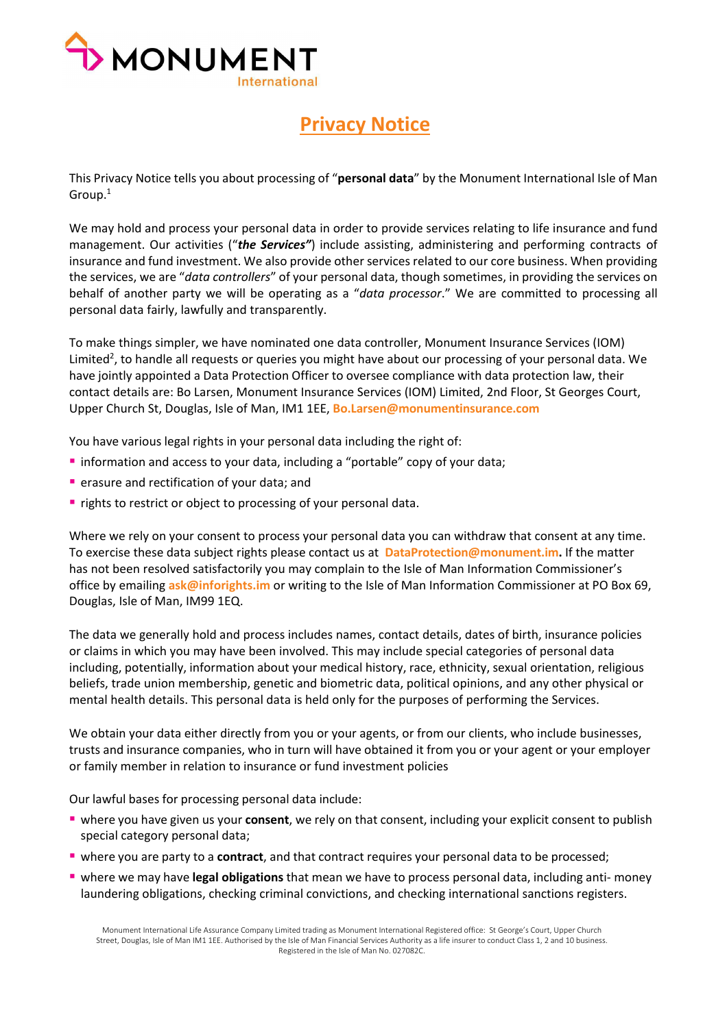

## **Privacy Notice**

This Privacy Notice tells you about processing of "**personal data**" by the Monument International Isle of Man Group.1

We may hold and process your personal data in order to provide services relating to life insurance and fund management. Our activities ("*the Services"*) include assisting, administering and performing contracts of insurance and fund investment. We also provide other services related to our core business. When providing the services, we are "*data controllers*" of your personal data, though sometimes, in providing the services on behalf of another party we will be operating as a "*data processor*." We are committed to processing all personal data fairly, lawfully and transparently.

To make things simpler, we have nominated one data controller, Monument Insurance Services (IOM) Limited<sup>2</sup>, to handle all requests or queries you might have about our processing of your personal data. We have jointly appointed a Data Protection Officer to oversee compliance with data protection law, their contact details are: Bo Larsen, Monument Insurance Services (IOM) Limited, 2nd Floor, St Georges Court, Upper Church St, Douglas, Isle of Man, IM1 1EE, **[Bo.Larsen@monumentinsurance.com](mailto:Bo.Larsen@monumentinsurance.com)**

You have various legal rights in your personal data including the right of:

- **Information and access to your data, including a "portable" copy of your data;**
- **P** erasure and rectification of your data; and
- **rights to restrict or object to processing of your personal data.**

Where we rely on your consent to process your personal data you can withdraw that consent at any time. To exercise these data subject rights please contact us at **[DataProtection@monument.im.](mailto:DataProtection@monument.im)** If the matter has not been resolved satisfactorily you may complain to the Isle of Man Information Commissioner's office by emailing **[ask@inforights.im](mailto:ask@inforights.im)** or writing to the Isle of Man Information Commissioner at PO Box 69, Douglas, Isle of Man, IM99 1EQ.

The data we generally hold and process includes names, contact details, dates of birth, insurance policies or claims in which you may have been involved. This may include special categories of personal data including, potentially, information about your medical history, race, ethnicity, sexual orientation, religious beliefs, trade union membership, genetic and biometric data, political opinions, and any other physical or mental health details. This personal data is held only for the purposes of performing the Services.

We obtain your data either directly from you or your agents, or from our clients, who include businesses, trusts and insurance companies, who in turn will have obtained it from you or your agent or your employer or family member in relation to insurance or fund investment policies

Our lawful bases for processing personal data include:

- where you have given us your **consent**, we rely on that consent, including your explicit consent to publish special category personal data;
- where you are party to a **contract**, and that contract requires your personal data to be processed;
- where we may have **legal obligations** that mean we have to process personal data, including anti- money laundering obligations, checking criminal convictions, and checking international sanctions registers.